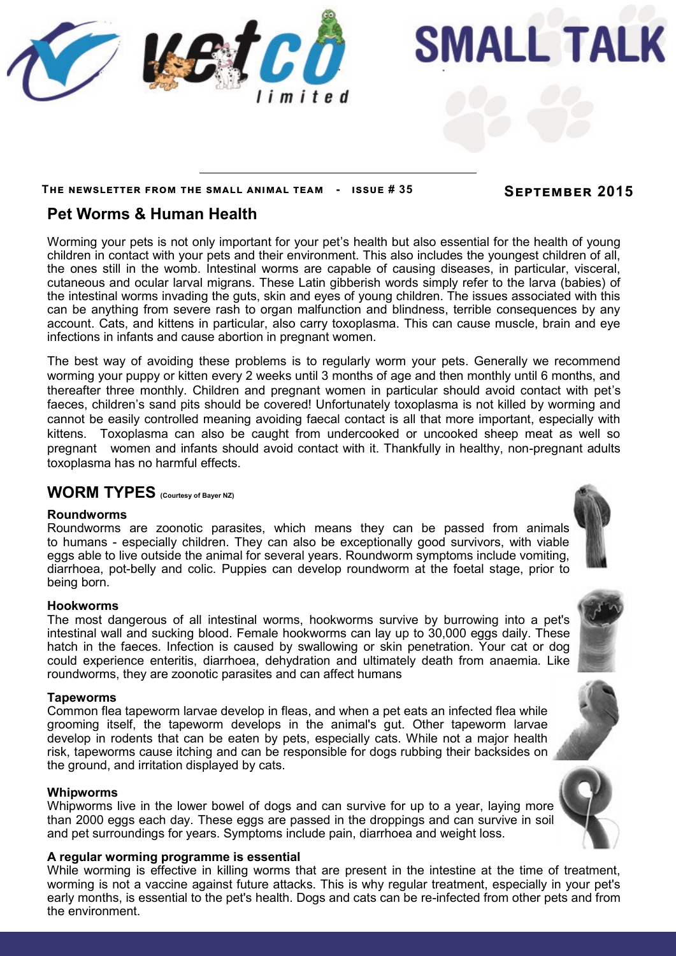nited

## **The newsletter from the small animal team - issue # 35 September 2015**

**SMALL TALK** 

# **Pet Worms & Human Health**

Worming your pets is not only important for your pet's health but also essential for the health of young children in contact with your pets and their environment. This also includes the youngest children of all, the ones still in the womb. Intestinal worms are capable of causing diseases, in particular, visceral, cutaneous and ocular larval migrans. These Latin gibberish words simply refer to the larva (babies) of the intestinal worms invading the guts, skin and eyes of young children. The issues associated with this can be anything from severe rash to organ malfunction and blindness, terrible consequences by any account. Cats, and kittens in particular, also carry toxoplasma. This can cause muscle, brain and eye infections in infants and cause abortion in pregnant women.

The best way of avoiding these problems is to regularly worm your pets. Generally we recommend worming your puppy or kitten every 2 weeks until 3 months of age and then monthly until 6 months, and thereafter three monthly. Children and pregnant women in particular should avoid contact with pet's faeces, children's sand pits should be covered! Unfortunately toxoplasma is not killed by worming and cannot be easily controlled meaning avoiding faecal contact is all that more important, especially with kittens. Toxoplasma can also be caught from undercooked or uncooked sheep meat as well so pregnant women and infants should avoid contact with it. Thankfully in healthy, non-pregnant adults toxoplasma has no harmful effects.

## **WORM TYPES (Courtesy of Bayer NZ)**

## **Roundworms**

Roundworms are zoonotic parasites, which means they can be passed from animals to humans - especially children. They can also be exceptionally good survivors, with viable eggs able to live outside the animal for several years. Roundworm symptoms include vomiting, diarrhoea, pot-belly and colic. Puppies can develop roundworm at the foetal stage, prior to being born.

## **Hookworms**

The most dangerous of all intestinal worms, hookworms survive by burrowing into a pet's intestinal wall and sucking blood. Female hookworms can lay up to 30,000 eggs daily. These hatch in the faeces. Infection is caused by swallowing or skin penetration. Your cat or dog could experience enteritis, diarrhoea, dehydration and ultimately death from anaemia. Like roundworms, they are zoonotic parasites and can affect humans

#### **Tapeworms**

Common flea tapeworm larvae develop in fleas, and when a pet eats an infected flea while grooming itself, the tapeworm develops in the animal's gut. Other tapeworm larvae develop in rodents that can be eaten by pets, especially cats. While not a major health risk, tapeworms cause itching and can be responsible for dogs rubbing their backsides on the ground, and irritation displayed by cats.

## **Whipworms**

Whipworms live in the lower bowel of dogs and can survive for up to a year, laying more than 2000 eggs each day. These eggs are passed in the droppings and can survive in soil and pet surroundings for years. Symptoms include pain, diarrhoea and weight loss.

## **A regular worming programme is essential**

While worming is effective in killing worms that are present in the intestine at the time of treatment, worming is not a vaccine against future attacks. This is why regular treatment, especially in your pet's early months, is essential to the pet's health. Dogs and cats can be re-infected from other pets and from the environment.